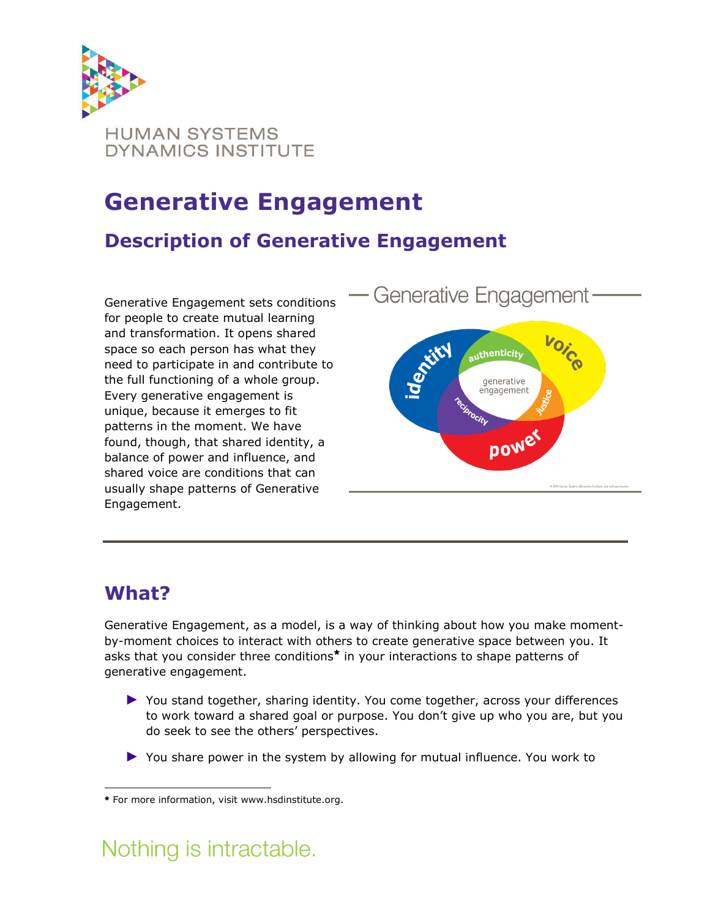

# **Generative Engagement**

#### **Description of Generative Engagement**

Generative Engagement sets conditions for people to create mutual learning and transformation. It opens shared space so each person has what they need to participate in and contribute to the full functioning of a whole group. Every generative engagement is unique, because it emerges to fit patterns in the moment. We have found, though, that shared identity, a balance of power and influence, and shared voice are conditions that can usually shape patterns of Generative Engagement.



### **What?**

Generative Engagement, as a model, is a way of thinking about how you make momentby-moment choices to interact with others to create generative space between you. It asks that you consider three conditions\* in your interactions to shape patterns of generative engagement.

- ► You stand together, sharing identity. You come together, across your differences to work toward a shared goal or purpose. You don't give up who you are, but you do seek to see the others' perspectives.
- ► You share power in the system by allowing for mutual influence. You work to

# Nothing is intractable.

 $\overline{a}$ \* For more information, visit www.hsdinstitute.org.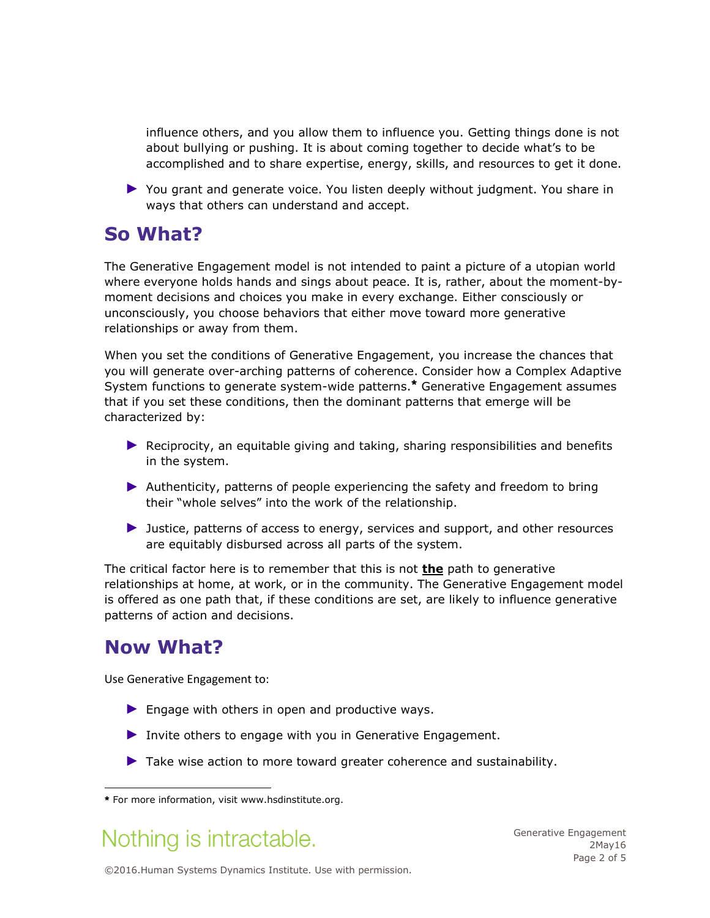influence others, and you allow them to influence you. Getting things done is not about bullying or pushing. It is about coming together to decide what's to be accomplished and to share expertise, energy, skills, and resources to get it done.

► You grant and generate voice. You listen deeply without judgment. You share in ways that others can understand and accept.

#### **So What?**

The Generative Engagement model is not intended to paint a picture of a utopian world where everyone holds hands and sings about peace. It is, rather, about the moment-bymoment decisions and choices you make in every exchange. Either consciously or unconsciously, you choose behaviors that either move toward more generative relationships or away from them.

When you set the conditions of Generative Engagement, you increase the chances that you will generate over-arching patterns of coherence. Consider how a Complex Adaptive System functions to generate system-wide patterns.\* Generative Engagement assumes that if you set these conditions, then the dominant patterns that emerge will be characterized by:

- ▶ Reciprocity, an equitable giving and taking, sharing responsibilities and benefits in the system.
- ► Authenticity, patterns of people experiencing the safety and freedom to bring their "whole selves" into the work of the relationship.
- ► Justice, patterns of access to energy, services and support, and other resources are equitably disbursed across all parts of the system.

The critical factor here is to remember that this is not **the** path to generative relationships at home, at work, or in the community. The Generative Engagement model is offered as one path that, if these conditions are set, are likely to influence generative patterns of action and decisions.

#### **Now What?**

Use Generative Engagement to:

- $\blacktriangleright$  Engage with others in open and productive ways.
- $\blacktriangleright$  Invite others to engage with you in Generative Engagement.
- ► Take wise action to more toward greater coherence and sustainability.

## Nothing is intractable.

Generative Engagement 2May16 Page 2 of 5

©2016.Human Systems Dynamics Institute. Use with permission.

 $\overline{a}$ For more information, visit www.hsdinstitute.org.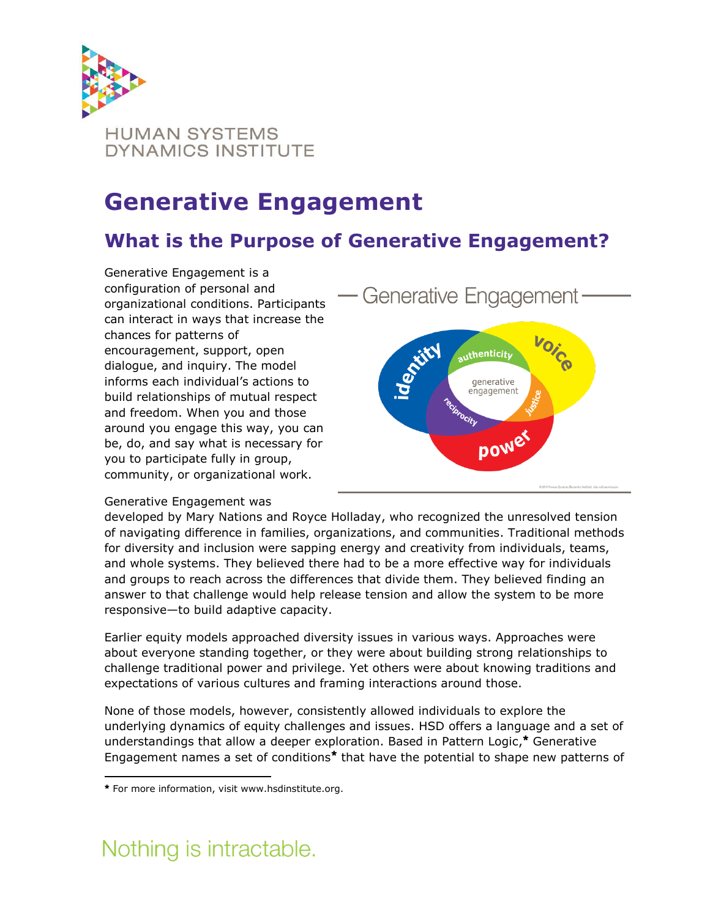

# **Generative Engagement**

### **What is the Purpose of Generative Engagement?**

Generative Engagement is a configuration of personal and organizational conditions. Participants can interact in ways that increase the chances for patterns of encouragement, support, open dialogue, and inquiry. The model informs each individual's actions to build relationships of mutual respect and freedom. When you and those around you engage this way, you can be, do, and say what is necessary for you to participate fully in group, community, or organizational work.



#### Generative Engagement was

developed by Mary Nations and Royce Holladay, who recognized the unresolved tension of navigating difference in families, organizations, and communities. Traditional methods for diversity and inclusion were sapping energy and creativity from individuals, teams, and whole systems. They believed there had to be a more effective way for individuals and groups to reach across the differences that divide them. They believed finding an answer to that challenge would help release tension and allow the system to be more responsive—to build adaptive capacity.

Earlier equity models approached diversity issues in various ways. Approaches were about everyone standing together, or they were about building strong relationships to challenge traditional power and privilege. Yet others were about knowing traditions and expectations of various cultures and framing interactions around those.

None of those models, however, consistently allowed individuals to explore the underlying dynamics of equity challenges and issues. HSD offers a language and a set of understandings that allow a deeper exploration. Based in Pattern Logic,<sup>\*</sup> Generative Engagement names a set of conditions<sup>\*</sup> that have the potential to shape new patterns of

# Nothing is intractable.

l For more information, visit www.hsdinstitute.org.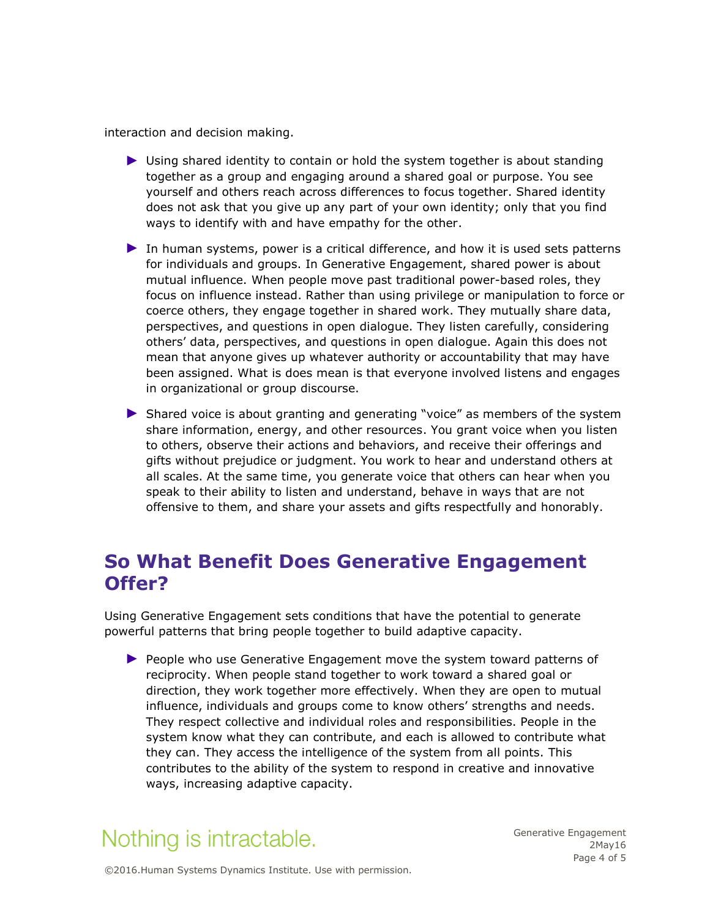interaction and decision making.

- ► Using shared identity to contain or hold the system together is about standing together as a group and engaging around a shared goal or purpose. You see yourself and others reach across differences to focus together. Shared identity does not ask that you give up any part of your own identity; only that you find ways to identify with and have empathy for the other.
- ▶ In human systems, power is a critical difference, and how it is used sets patterns for individuals and groups. In Generative Engagement, shared power is about mutual influence. When people move past traditional power-based roles, they focus on influence instead. Rather than using privilege or manipulation to force or coerce others, they engage together in shared work. They mutually share data, perspectives, and questions in open dialogue. They listen carefully, considering others' data, perspectives, and questions in open dialogue. Again this does not mean that anyone gives up whatever authority or accountability that may have been assigned. What is does mean is that everyone involved listens and engages in organizational or group discourse.
- ► Shared voice is about granting and generating "voice" as members of the system share information, energy, and other resources. You grant voice when you listen to others, observe their actions and behaviors, and receive their offerings and gifts without prejudice or judgment. You work to hear and understand others at all scales. At the same time, you generate voice that others can hear when you speak to their ability to listen and understand, behave in ways that are not offensive to them, and share your assets and gifts respectfully and honorably.

#### **So What Benefit Does Generative Engagement Offer?**

Using Generative Engagement sets conditions that have the potential to generate powerful patterns that bring people together to build adaptive capacity.

► People who use Generative Engagement move the system toward patterns of reciprocity. When people stand together to work toward a shared goal or direction, they work together more effectively. When they are open to mutual influence, individuals and groups come to know others' strengths and needs. They respect collective and individual roles and responsibilities. People in the system know what they can contribute, and each is allowed to contribute what they can. They access the intelligence of the system from all points. This contributes to the ability of the system to respond in creative and innovative ways, increasing adaptive capacity.

## Nothing is intractable.

Generative Engagement 2May16 Page 4 of 5

©2016.Human Systems Dynamics Institute. Use with permission.